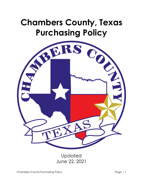# **Chambers County, Texas Purchasing Policy**



Updated June 22, 2021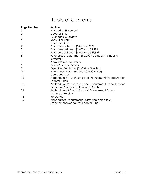# Table of Contents

| <b>Page Number</b> | <b>Section</b>                                                                                 |
|--------------------|------------------------------------------------------------------------------------------------|
| 3                  | <b>Purchasing Statement</b>                                                                    |
| $\mathfrak{Z}$     | Code of Ethics                                                                                 |
| 4                  | <b>Purchasing Overview</b>                                                                     |
| 5                  | Requisition Forms                                                                              |
| 6                  | <b>Purchase Order</b>                                                                          |
| $\overline{7}$     | Purchases between \$0.01 and \$999                                                             |
| $\overline{7}$     | Purchases between \$1,000 and \$4,999                                                          |
| $\overline{7}$     | Purchases between \$5,000 and \$49,999                                                         |
| 8                  | Purchases Greater Than \$50,000 / Competitive Bidding                                          |
|                    | (Statutory)                                                                                    |
| 9                  | <b>Blanket Purchase Orders</b>                                                                 |
| 9                  | Open Purchase Orders                                                                           |
| 9                  | Expedited Purchases (\$1,000 or Greater)                                                       |
| 10                 | Emergency Purchases (\$1,000 or Greater)                                                       |
| 11                 | Consequences                                                                                   |
| 12                 | Addendum #1 Purchasing and Procurement Procedures for<br><b>Federal Funds</b>                  |
| 12                 | Addendum #2 Purchasing and Procurement Procedures for<br>Homeland Security and Disaster Grants |
| 13                 | Addendum #3 Purchasing and Procurement During<br><b>Declared Disasters</b>                     |
| 14                 | References                                                                                     |
| 15                 | Appendix A: Procurement Policy Applicable to All<br>Procurements Made with Federal Funds       |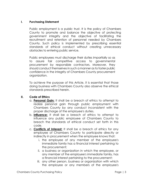#### **I. Purchasing Statement**

Public employment is a public trust. It is the policy of Chambers County to promote and balance the objective of protecting government integrity and the objective of facilitating the recruitment and retention of personnel needed by Chambers County. Such policy is implemented by prescribing essential standards of ethical conduct without creating unnecessary obstacles to entering public service.

Public employees must discharge their duties impartially so as to assure fair competitive access to governmental procurement by responsible contractors. Moreover, they should conduct themselves in such a manner as to foster public confidence in the integrity of Chambers County procurement organization.

To achieve the purpose of this Article, it is essential that those doing business with Chambers County also observe the ethical standards prescribed herein.

# **II. Code of Ethics**

- a. **Personal Gain:** It shall be a breach of ethics to attempt to realize personal gain through public employment with Chambers County by any conduct inconsistent with the proper discharge of the employee's duties.
- b. **Influence:** It shall be a breach of ethics to attempt to influence any public employee of Chambers County to breach the standards of ethical conduct set forth in this code.
- c. **Conflicts of Interest:** It shall be a breach of ethics for any employee of Chambers County to participate directly or indirectly in procurement when the employee knows that:
	- i. the employee of any member of the employee's immediate family has a financial interest pertaining to the procurement;
	- ii. a business or organization in which the employee, or any member of the employee's immediate family, has a financial interest pertaining to the procurement;
	- iii. any other person, business or organization with which the employee or any members of the employee's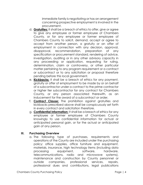immediate family is negotiating or has an arrangement concerning prospective employment is involved in the procurement.

- d. **Gratuities:** It shall be a breach of ethics to offer, give or agree to give any employee or former employee of Chambers County, or for any employee or former employee of Chambers County to solicit, demand, accept or agree to accept from another person, a gratuity or an offer of employment in connection with any decision, approval, disapproval, recommendation, preparation of any specification or procurement standard, rendering of advice, investigation, auditing or in any other advisory capacity in any proceeding or application, requesting for ruling, determination, claim or controversy, or other particular matter pertaining to any program requirement or a contract or subcontract or to any solicitation or proposal therefore pending before this local government.
- e. **Kickbacks:** It shall be a breach of ethics for any payment, gratuity or offer of employment to be made by or on behalf of a subcontractor under a contract to the prime contractor or higher tier subcontractor for any contract for Chambers County, or any person associated therewith, as an inducement for the award of a subcontract or order.
- f. **Contract Clause:** The prohibition against gratuities and kickbacks prescribed above shall be conspicuously set forth in every contract and solicitation therefore.
- g. **Confidential Information:** It shall be a breach of ethics for any employee or former employee of Chambers County knowingly to use confidential information for actual or anticipated personal gain, or for the actual or anticipated gain of any person.

# **III. Purchasing Overview**

a. The following type of purchases, requirements and operations of the County are included under the purchasing policy: office supplies, office furniture and equipment, materials, insurance, high technology items (including data processing equipment, software, hardware, telecommunications, radio and microwave systems), maintenance and construction by County personnel or outside companies, professional services, repairs, professional dues and contributions, legal publications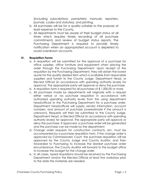(including subscriptions, pamphlets, manuals, reporters, journals, codes and statutes), and printing.

- b. All purchases will be for a quality suitable to the purpose at least expense to the County.
- c. All departments must be aware of their budget status at all times which requires timely recording of all purchase commitments and review of budget status reports. The Purchasing Department is required to provide timely notification when an appropriated account is depleted to avoid overdrawn accounts.

#### **IV. Requisition Forms**

- a. A requisition will be submitted for the approval of a purchase for office supplies, office furniture and equipment when placing the order through the Purchasing Department. Upon receipt of the requisition by the Purchasing Department, they will obtain the lowest quote for the quality desired item which is available from responsible suppliers and furnish to the County Judge, Department Head, or Elected Official (in accordance with spending authority levels) for approval. The appropriate party will approve or deny the purchase.
- b. A requisition form is required for all purchases of \$ 1,000.00 or more.
- c. All purchases made by departments will originate with a request either verbal or via purchase requisition in accordance with authorized spending authority levels from the using department head/official to the Purchasing Department for a purchase order. Department head/official will supply vendor information, account numbers, and amount of purchase (overestimate if the amount is unknown). Requests will then be submitted to the County Judge, Department Head, or Elected Official (in accordance with spending authority levels) for approval. The appropriate party will approve or deny the purchase. If approved, a purchase order will be generated and the purchase can be made by the department.
- d. Change order requests for construction contracts, etc. must be accompanied by a purchase requisition form. If the change order is approved by Commissioners' Court, the purchase requisition will be approved by the County Judge and County Auditor, and then forwarded to Purchasing to increase the blanket purchase order encumbrance. The County Auditor will forward to the budget office to increase the budget for the change order.
- e. In all cases, typed requisitions should be received by the Purchasing Department and/or the Elected Official at least five workdays prior to the date the materials are needed.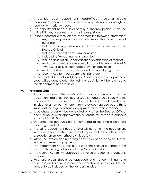- f. If possible, each department head/official should anticipate requirements months in advance and requisition early enough to receive items prior to need.
- g. The department head/official or duly authorized person within the office initiates, prepares, and signs the requisition.
- h. To be processed, a requisition must contain the following information:
	- i. Any one requisition may include more than one type of purchase;
	- ii. Include date requisition is completed and submitted to the Elected Official;
	- iii. Include number of each item requested;
	- iv. Include the Vendor name and number;
	- v. Include description, specifications or explanation of request;
	- vi. Add date materials are needed, if applicable. Allow at least 3- 4 weeks for delivery from date shown on requisition;
	- vii. Add department head/official and approve by signature;
	- viii. County Auditor must approve by signature.
- i. If the Elected Official and County Auditor approves, a purchase order will be generated. If denied, the requisition will be returned to the department head/official.

#### **V. Purchase Order**

- a. A purchase order is the seller's authorization to invoice and ship the equipment, materials, services, or supplies; and should specify terms and conditions when necessary to limit the seller's authorization to invoice for an amount different from previously agreed upon. This is important for large purchases, equipment, and vehicle repairs.
- b. A purchase order will be generated only after the Elected Official and County Auditor approves the purchase for purchase orders in excess of \$1,000.00.
- c. Departmental accounts are encumbered at the time a purchase order is generated.
- d. The using department head/official will not enter into negotiations with any vendor for the purchase of equipment, materials, services, or supplies unless authorized by this policy.
- e. When the invoice and receiving copy have been received, the bill will be processed for payment.
- f. The department head/official will send the original purchase order along with the original invoice to the County Auditor.
- g. The County Auditor will approve the invoice and submit to accounts payable.
- h. Purchase orders should be approved prior to committing to a purchase and a purchase order number should be provided to the vendor to be included on the vendor's invoice.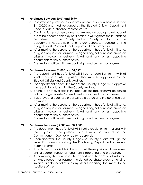# **VI. Purchases Between \$0.01 and \$999**

- a. Confirmation purchase orders are authorized for purchases less than \$ 1,000.00 and must be signed by the Elected Official, Department Head, or duly authorized representative.
- b. Confirmation purchase orders that exceed an appropriated budget are to be accompanied by notification in writing from the Purchasing Department to the County Judge, County Auditor, and the department head/official and future purchases ceased until a budget transfer/amendment is approved and processed.
- c. After making the purchase, the department head/official will send: a signed request for payment, a signed original purchase order, an original invoice, a delivery ticket and any other supporting documents to the Auditor's office.
- d. The Auditor's office will then audit, sign, and process for payment.

# **VII. Purchases Between \$1,000 and \$4,999**

- a. The department head/official will fill out a requisition form, with at least two quotes when possible, that must be approved by the Elected Official and County Auditor.
- b. For department heads, this means the County Judge must approve the requisition along with the County Auditor.
- c. If funds are not available in the account, the requisition will be denied until a budget transfer/amendment is approved and processed.
- d. If approved, a purchase order will be created and the purchase can be made.
- e. After making the purchase, the department head/official will send: a signed request for payment, a signed original purchase order, an original invoice, a delivery ticket and any other supporting documents to the Auditor's office.
- f. The Auditor's office will then audit, sign, and process for payment.

# **VIII. Purchases between \$5,000 and \$49,000**

- a. The department head/official will fill out a requisition form, along with three quotes when possible, and it must be placed on the Commissioners' Court agenda for approval.
- b. Upon approval, the County Judge and County Auditor will sign the requisition form authorizing the Purchasing Department to issue a purchase order.
- c. If funds are not available in the account, the requisition will be denied until a budget transfer/amendment is approved and processed.
- d. After making the purchase, the department head/official will send: a signed request for payment, a signed purchase order, an original invoice, a delivery ticket and any other supporting documents to the Auditor's office.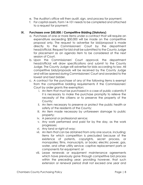- e. The Auditor's office will then audit, sign, and process for payment.
- f. For capital assets, Form 14-101 needs to be completed and attached to a request for payment.

#### **IX. Purchases over \$50,000 / Competitive Bidding (Statutory)**

- a. Purchases of one or more items under a contract that will require an expenditure exceeding \$50,000 will be made on the competitive proposal only. The request to advertise for bid/proposal is made directly to the Commissioners' Court by the department head/official. Request for bid shall be submitted to the County Judge for placement as an agenda item to be considered at the next session of Court.
- b. Upon the Commissioners' Court approval, the department head/official will draw specifications and submit to the County Judge. The County Judge will advertise for bids according to law. All competitive bids/proposals will be received by the County Judge and will be opened during Commissioners' Court and awarded to the lowest and best bidder.
- c. A contract for the purchase of any of the following items is exempt from the competitive bidding requirements if the Commissioners' Court by order grants the exemption:
	- i. An item that must be purchased in a case of public calamity if it is necessary to make the purchase promptly to relieve the necessity of the citizens or to preserve the property of the County;
	- ii. An item necessary to preserve or protect the public health or safety of the residents of the County;
	- iii. An item made necessary by unforeseen damage to public property;
	- iv. A personal or professional service;
	- v. Any work performed and paid for by the day, as the work progresses;
	- vi. Any land or right-of-way;
	- vii. An item that can be obtained from only one source, including; items for which competition is precluded because of the existence of patents, copyrights, secret process, or monopolies; films, manuscripts, or books; electric power, gas, water, and other utility service; captive replacement parts or components for equipment; or
	- viii. Lease renewals or equipment maintenance agreements which have previously gone through competitive bid process within the preceding year; providing however, that such extension or renewal period shall not exceed one year and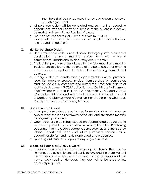that there shall be not be more than one extension or renewal of such agreement

- d. All purchase orders will be generated and sent to the requesting department. Vendor's copy of purchase of the purchase order will be mailed to them with notification of award.
- e. See Bidding Procedures for Purchases Over \$50,000.00
- f. For capital assets, Form 14-101 needs to be completed and attached to a request for payment.

#### **X. Blanket Purchase Orders**

- a. Blanket purchase orders are authorized for larger purchases such as construction contracts, monthly service items, etc. where a commitment is made and invoices may occur monthly.
- b. The blanket purchase order is issued for the full amount and monthly invoices are applied to the balance of the purchase order and the encumbrance is updated to reflect the remaining commitment balance.
- c. Change orders for construction projects must follow the purchase requisition approval process. Invoices from construction contractors must include a fully complete and authorized American Institute of Architects document G-702 Application and Certificate for Payment. Final invoices must also include AIA document G-706 and G-706A (Contactor's Affidavit and Release of Liens and Affidavit of Payment of Debts and Claims.) More information is available in the Chambers County Construction Purchasing Manual.

# **XI. Open Purchase Orders**

- a. Open purchase orders are authorized for small, routine maintenance type purchases such as hardware stores, etc. and are closed monthly for payment processing.
- b. Open purchase orders that exceed an appropriated budget are to be accompanied by notification in writing from the Purchasing Department to the County Judge, County Auditor, and the Elected Official/Department Head and future purchases ceased until a budget transfer/amendments is approved and processed.
- c. Spending authority levels apply to any single purchase.

# **XII. Expedited Purchases (\$1,000 or More)**

a. Expedited purchases are not emergency purchases. They are for items needed quickly to prevent costly delays, and therefore warrant the additional cost and effort caused by the interruption of the normal work routine. However, they are not to be used unless absolutely required.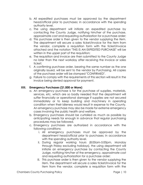- b. All expedited purchases must be approved by the department head/official prior to purchases; in accordance with the spending authority level.
- c. The using department will initiate an expedited purchase by contacting the County Judge, notifying him/her of the purchase, approximate cost and requesting authorization for a purchase order;
- d. This purchase order is then given to the vendor supplying the item. The department will secure a sales ticket/invoice for the item from the vendor, complete a requisition form with the ticket/invoice attached and the notation "THIS IS AN EXPEDITED PURCHASE" will be written in the upper part of the requisition;
- e. The requisition and invoice are then submitted to the County Judge no later than the next workday after receiving the invoice or sales ticket;
- f. A confirming purchase order, bearing the same number as the one originally issued, will be sent to the vendor by Purchasing. All copies of the purchase order will be stamped "CONFIRMED".
- g. Failure to comply with the requirements of this section will result in the invoice being denied approval for payment.

# **XIII. Emergency Purchases (\$1,000 or More)**

- a. An emergency purchase is for the purchase of supplies, materials, services, etc. which are so badly needed that the department will suffer financially or operational damage if supplies are not secured immediately or to keep building and machinery in operating condition when their idleness would result in expense to the County. An emergency purchase may also be made for extreme emergency cases involving the public health and welfare.
- b. Emergency purchases should be curtailed as much as possible by anticipating needs far enough in advance that regular purchasing procedures may be followed.
- c. Emergency purchases are authorized in accordance with the following conditions:
	- i. All emergency purchases must be approved by the department head/official prior to purchases; in accordance with the spending authority level.
	- ii. During regular working hours (8:00am-5:00pm, Monday through Friday excluding holidays), the using department will initiate an emergency purchase by contacting the County Judge, notifying him/her of the emergency, approximate cost and requesting authorization for a purchase order;
	- iii. This purchase order is then given to the vendor supplying the item. The department will secure a sales ticket/invoice for the item from the vendor, complete a requisition form with the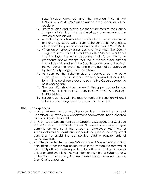ticket/invoice attached and the notation "THIS IS AN EMERGENCY PURCHASE" will be written in the upper part of the requisition;

- iv. The requisition and invoice are then submitted to the County Judge no later than the next workday after receiving the invoice or sales ticket;
- v. A confirming purchase order, bearing the same number as the one originally issued, will be sent to the vendor by Purchasing. All copies of the purchase order will be stamped "CONFIRMED"
- vi. When an emergency arises during a time when the County Judge's office is closed (weekdays after 5:00pm, weekends and holidays), the using department will follow the same procedure above except that the purchase order number cannot be obtained from the County Judge, cannot be given the vendor at the time of purchase and cannot be approved by the County Judge prior to purchase;
- vii. As soon as the ticket/invoice is received by the using department, it should be attached to a completed requisition form with a purchase order and sent to the County Judge the next working day.
- viii. The requisition should be marked in the upper part as follows: "THIS WAS AN EMERGENECY PURCHASE WITHOUT A PURCHASE ORDER NUMBER"
- ix. Failure to comply with the requirements of this section will result in the invoice being denied approval for payment.

# **XIV. Consequences**

- a. Any commitment for commodities or services made in the name of Chambers County by any department head/official not authorized by this policy shall be void.
- b. V.T.C.A., Local Government Code Chapter 262 Subchapter C, elided as the County Purchasing Act states: "A county officer or employee commits an offense if the officer or employee knowingly or intentionally makes or authorizes separate, sequential, or component purchases to avoid the competitive bidding requirements of Section262.023.
- c. An offense under Section 262.023 is a Class B Misdemeanor, a final conviction under this subsection result in the immediate removal of the county officer or employee from the office or position. A county officer or employee knowingly or intentionally violates Subchapter C of the County Purchasing Act. An offense under the subsection is a Class C Misdemeanor.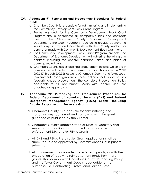#### **XV. Addendum #1: Purchasing and Procurement Procedures for Federal Funds**

- a. Chambers County is responsible for administering and implementing the Community Development Block Grant Program.
- b. Requesting funds for the Community Development Block Grant Program should coordinate all competitive bids and contracts through the Chambers County Economic Development Department. The County Judge is required to provide approval to initiate any activity and coordinate with the County Auditor for purchases made with Community Development Block Grant funds.
- c. For Community Development Block Grant Program projects, the Department of Economic Development will advertise the letting of a contract including the general conditions, time, and place of opening sealed bids.
- d. Chambers County has established procurement policies which are in compliance with federal procurement standards outlined in 2CFR 200.317 through 200.326 as well as Chambers County and Texas Local Government Code guidelines. These policies shall apply to any federally-funded procurement. The complete Procurement Policy Applicable to All Procurements Made with Federal Funds are attached as Appendix A.

#### **XVI. Addendum #2: Purchasing and Procurement Procedures for Federal Department of Homeland Security (DHS) and Federal Emergency Management Agency (FEMA) Grants, including Disaster Response and Recovery Grants**

- a. Chambers County is responsible for administering and managing any such grant and complying with the grant guidance as published by the Grantor.
- b. Chambers County Judge's Office of Disaster Recovery shall serve as coordination and approval for all non-law enforcement DHS and/or FEMA Grants.
- c. All DHS and FEMA Pre-disaster Grant applications shall be submitted to and approved by Commissioner's Court prior to submission.
- d. All procurement made under these federal grants, or with the expectation of receiving reimbursement funds from these grants, shall comply with Chambers County Purchasing Policy and the Texas Government Code(s) applicable to the purchase, i.e. Contracting, Professional Services, etc.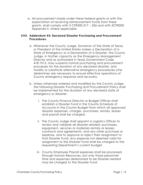e. All procurement made under these federal grants or with the expectation of receiving reimbursement funds from these grants, shall comply with 2 CFR200.317 – 326 and with 2CFR200 Appendix II, where applicable.

#### **XVII. Addendum #3: Declared Disaster Purchasing and Procurement Procedures.**

- a. Whenever the County Judge, Governor of the State of Texas, or President of the United States makes a Declaration of a State of Emergency or a Declaration of a Disaster, the County Judge, in his/her capacity as the Emergency Management Director and as authorized in Texas Government Code 418.1015, may suspend normal purchasing and procurement processes for the duration of any declared disaster, and modify or substitute alternative emergency procedures s/he determines are necessary to ensure effective operations of County emergency response and recovery.
- b. Unless otherwise ordered and modified by the County Judge, the following Disaster Purchasing and Procurement Policy shall be implemented for the duration of any declared state of emergency or disaster:
	- i. The County Finance Director or Budget Officer shall establish a Disaster Fund in the County Schedule of Accounts in the County Budget from which all approved disaster expenses, charges, purchases, rentals, leases and payroll shall be charged.
	- ii. The County Judge shall appoint a Logistics Officer to review and validate all disaster-related: purchases, equipment, services or materials rentals or leases, contracts and agreements, and any other purchase or expense, and to approve or reject their assignment to that Disaster Fund. Any expense not deemed valid for assignment to the Disaster Fund shall be charged to the requesting Department's current budget.
	- iii. County Employee Payroll expenses shall be processed through Human Resources, but only those personnel time and expenses determined to be Disaster-related may be charged to the Disaster Fund.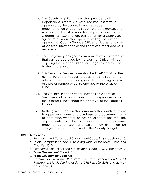- iv. The County Logistics Officer shall provide to all Department Directors, a Resource Request form, as approved by the Judge, to ensure proper documentation of each Disaster-related expense, and which shall at least provide for: requestor, specific items & quantities, explanation/justification for disaster use, signature of Requestor, approval of Logistics Officer, approval of County Finance Officer or Judge, and any other such information as the Logistics Officer deems is necessary.
- v. The Judge may designate a maximum expense amount that can be approved by the Logistics Officer without requiring the Finance Officer or Judge to approve, at his/her discretion.
- vi. This Resource Request form shall be IN ADDITION to the normal Purchase Request process and shall be for the sole purpose of determining and documenting approval of Disaster-related expense charges to the Disaster Fund.
- vii. The County Finance Officer, Purchasing Agent, or Treasurer shall not assign any cost, charge or expense to the Disaster Fund without the approval of the Logistics Officer.
- viii. Nothing in this section shall empower the Logistics Officer to approve or deny any purchase or procurement: only to determine whether or not an expense has met the requirements to be a valid disaster expense, documented as such and which may only then be charged to the Disaster Fund in the County Budget.

#### **XVIII. References**

- a. Purchasing Act, Texas Local Government Code, § 262 Subchapter C.
- b. Texas Comptroller Model Purchasing Manual for Texas Cities and Counties 2010.
- c. *Purchasing Act, Texas Local Government Code, § 262 Subchapter C.*
- d. *Texas Government Code 418*
- e. *Texas Government Code 433*
- f. *Uniform Administrative Requirements, Cost Principles and Audit Requirement for Federal Awards – 2 CFR Part 200, 2018 and as may be amended*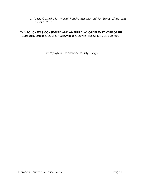g. *Texas Comptroller Model Purchasing Manual for Texas Cities and Counties 2010.*

#### **THIS POLICY WAS CONSIDERED AND AMENDED, AS ORDERED BY VOTE OF THE COMMISSIONERS COURT OF CHAMBERS COUNTY, TEXAS ON JUNE 22, 2021.**

\_\_\_\_\_\_\_\_\_\_\_\_\_\_\_\_\_\_\_\_\_\_\_\_\_\_\_\_\_\_\_\_\_\_\_\_\_\_\_\_\_\_\_\_\_\_\_\_\_\_ Jimmy Sylvia, Chambers County Judge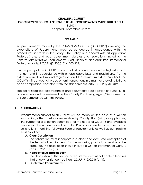# **CHAMBERS COUNTY PROCUREMENT POLICY APPLICABLE TO ALL PROCUREMENTS MADE WITH FEDERAL FUNDS**

Adopted September 22, 2020

#### **PREAMBLE**

All procurements made by the CHAMBERS COUNTY ("COUNTY") involving the expenditure of Federal funds must be conducted in accordance with the procedures set forth in this Policy. This Policy is in accord with all applicable Federal, State, and local government statutes and regulations, including the Uniform Administrative Requirements, Cost Principles, and Audit Requirements for Federal Awards, 2 C.F.R. §§ 200.317 to 200.326.

It is the policy of the COUNTY to conduct all procurements in the highest ethical manner, and in accordance with all applicable laws and regulations. To the extent required by law and regulation, and the maximum extent practical, the COUNTY will conduct all procurement transactions in a manner providing full and open competition, consistent with the standards set forth 2 C.F.R. § 200.319.

Subject to specified cost thresholds and documented delegation of authority, all procurements will be reviewed by the County Purchasing Agent/Department to ensure compliance with this Policy.

#### **I. SOLICITATIONS**

Procurements subject to this Policy will be made on the basis of a written solicitation, after careful consideration by County Staff (with, as applicable, the support of a selection committee) of the needs of COUNTY and available resources. The written procedures in this Policy are intended to ensure that all solicitations meet the following Federal requirements as well as contracting best practices.

#### **A. Clear Description**

The solicitation must incorporate a clear and accurate description of the technical requirements for the material, product, or service to be procured. This description should include a written statement of work. 2 C.F.R. § 200.319(c)(1).

#### **B. Nonrestrictive Specification**

The description of the technical requirements must not contain features that unduly restrict competition. 2C.F.R. § 200.319(c)(1).

**C. Qualitative Requirements**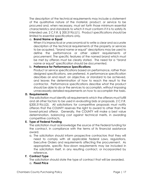The description of the technical requirements may include a statement of the qualitative nature of the material, product, or service to be procured and, when necessary, must set forth those minimum essential characteristics and standards to which it must conform if it is to satisfy its intended use. 2 C.F.R. § 200.319(c)(1). Product specifications should be limited to essential specifications only.

#### a. **Brand Name or Equal**

When it is impractical or uneconomical to write a clear and accurate description of the technical requirements of the property or services to be acquired, "brand name or equal" descriptions may be used to define the performance or other salient requirements of procurement. The specific features of the named brand which must be met by offerors must be clearly stated. The need for a "brand name or equal" specification should be documented.

# b. **Preference for Performance Specifications**

Product or service specifications based on performance, rather than designed specifications, are preferred. A performance specification describes an end result, an objective, or standard to be achieved, and leaves the determination of how to reach the result to the contractor. Performance specifications describe *what* the product should be able to do or the services to accomplish, without imposing unnecessarily detailed requirements on *how* to accomplish the tasks.

# **D. Requirements**

The solicitation must identify all requirements which the offerors must fulfill and all other factors to be used in evaluating bids or proposals. 2 C.F.R. §200.319(c)(2). All solicitations for competitive proposals must notify offerors that the COUNTY reserves the right to award to other than the lowest-priced offeror. Generally, the COUNTY will make a best value determination, balancing cost against technical merits, in awarding competitive contracts.

# **E. Type of Federal Funding**

The solicitation must acknowledge the source of the Federal funding for the contract, in compliance with the terms of its financial assistance award.

a. The solicitation should inform prospective contractors that they will need to comply with all applicable Federal Laws, regulations, Executive Orders and requirements affecting the procurement. As appropriate, specific flow-down requirements may be included in the solicitation itself, in any resulting contract, or incorporated by reference.

# **F. Contract Type**

The solicitation should state the type of contract that will be awarded.

# a. **Fixed Price**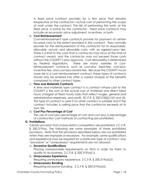A fixed price contract provides for a firm price that remains irrespective of the contractor's actual cost of performing the scope of work under the contract. The risk of performing the work, at the fixed price, is borne by the contractor. Fixed price contracts may include an economic price adjustment, incentives, or both.

#### b. **Cost Reimbursement**

Cost-reimbursement type contracts provide for payment of certain incurred costs to the extent provided in the contract. They normally provide for the reimbursement of the contractor for its reasonable, allocable, actual, and allowable costs, with an agreed-upon fee. There is a limit to the costs that a contractor may incur at the time of contract award, and the contractor may not exceed those costs without the COUNTY's prior approval. Cost allowability is determined by Federal regulations. There are many varieties of costreimbursement contracts, such as cost-plus- fixed-fee, cost-plusincentive-fee, and cost-plus-award-fee. Because the COUNTY incurs more risk in a cost reimbursement contract, these types of contracts should only be entered into after a careful analysis of the benefits compared to other contract types.

#### c. **Time and Materials Contracts**

A time and materials type contract is a contract whose cost to the COUNTY is the sum of the actual cost of materials and direct labor hours charged at fixed hourly rates that reflect wages, general and administrative expenses, and profit. 2C.F.R. § 200.318(j)(1)(i) and (ii). This type of contract is used if no other contract is suitable and if the contract includes a ceiling price that the contractor exceeds at its own risk.

# d. **Cost Plus Percentage of Cost**

The use of cost plus percentage of cost and cost plus a percentage of construction cost methods of contracting are prohibited.

# **G. Prohibitions**

Certain provision that unduly restrict competition are prohibited. 2 C.F.R. § 200.319(a). The following are some examples of these prohibited provisions. Note that the provisions described below are not prohibited when they are improper or excessive. For example, some qualifications and experience may be required for a particular type of contract; only "excessive" or "unnecessary" requirements are not allowed:

# a. **Excessive Qualifications**

Placing unreasonable requirements on firms in order for them to qualify to do business.  $2$  C.F.R.  $\S$  200.319(a)(1).

# b. **Unnecessary Experience**

Requiring unnecessary experience. 2 C.F.R. § 200.319(a)(2).

# c. **Unnecessary Bonding**

Requiring excessive bonding. 2 C.F.R. § 200.319(a)(2).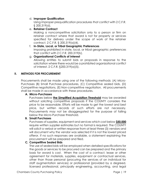#### d. **Improper Qualification**

Using improper prequalification procedures that conflict with 2 C.F.R. § 200.319(d).

#### e. **Retainer Contract**

Making a noncompetitive solicitation only to a person or firm on retainer contract where that award is not for property or services specified for delivery under the scope of work of the retainer contract. 2 C.F.R. § 200.319(a)(4).

# f. **In-State, Local, or Tribal Geographic Preferences**

Imposing prohibited in-state, local, or tribal geographic preferences that conflict with 2 C.F.R. 200.319(b).

#### g. **Organizational Conflicts of Interest** Allowing entities to submit bids or proposals in response to the solicitation where there would be a prohibited organizational conflict of interest. 2 C.F.R. §200.319(a)(5).

# **II. METHODS FOR PROCUREMENT**

Procurements shall be made using one of the following methods: (A) Micro-Purchases (B) Small Purchase procedures, (C) Competitive sealed bids, (D) Competitive negotiations, (E) Non-competitive negotiation. All procurements shall be made in accordance with these procedures.

#### **A. Micro-Purchases**

Purchases below **the Simplified Acquisition Threshold** may be awarded without soliciting competitive proposals if the COUNTY considers the price to be reasonable. Efforts will be made to get the lowest and best price, but written records of such efforts are not necessary. Procurements may not be disaggregated for the purpose of falling below the Micro-Purchase threshold.

#### **B. Small Purchases**

Purchases of supplies, equipment and services which cost below **\$50,000** require written supplier estimates but no formal is required. The COUNTY will solicit a verbal or written response from at least three (3) vendors and will document why the vendor was selected if it is not the lowest priced offeror. If no such responses are available, a statement explaining the procurement will be prepared and filed.

#### **C. Competitive Sealed Bids**

The use of sealed bids will be employed when detailed specifications for the goods or services to be procured can be prepared and the primary basis for award is cost. When the cost of a contract, lease or other agreement for materials, supplies, equipment or contractual services, other than those personal (procuring the services of an individual for staff augmentation services) or professional (provided by a degreed, licensed professional, principally engineering, accounting, and legal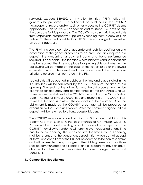services), exceeds **\$50,000**, an Invitation for Bids ("IFB") notice will generally be prepared. This notice will be published in the COUNTY newspaper of record and/or such other places as the COUNTY deems appropriate. This notice will appear at least fourteen (14) days before the due date for bid proposals. The COUNTY may also solicit sealed bids from responsible prospective suppliers by sending them a copy of such notice. To the extent possible, COUNTY Staff is encouraged to maintain an open Bidders List.

The IFB will include a complete, accurate and realistic specification and description of the goods or services to be procured, any required bid deposit, the amount of a payment bond and bond performance required (if applicable), the location where bid forms and specifications may be secured, the time and place for opening bids, and whether the bid award will be made on the basis of the lowest price or the lowest evaluated price. If the lowest evaluated price is used, the measurable criteria to be used must be stated in the IFB.

Sealed bids will be opened in public at the time and place stated in the IFB. The bids will be tabulated by the TABULATOR at the time of bid opening. The results of the tabulation and the bid procurements will be examined for accuracy and completeness by the EXAMINER who will make recommendations to the COUNTY. In addition, the COUNTY shall determine that all firms are responsive and responsible. The COUNTY will make the decision as to whom the contract shall be awarded. After the bid award is made by the COUNTY, a contract will be prepared for execution by the successful bidder. After the contract is signed, all bid deposits will be returned to all unsuccessful bidders.

The COUNTY may cancel an Invitation for Bid or reject all bids if it is determined that such is in the best interests of CHAMBERS COUNTY. Bidders will be notified in writing of such cancellation or rejection. The COUNTY may allow a vendor to withdraw a bid if requested at any time prior to the bid opening. Bids received after the time set for bid opening shall be returned to the vendor unopened. Bids which do not accept all terms and conditions of the IFB shall be deemed to be non-responsive and will be rejected. Any changes to the bidding terms and conditions shall be communicated to all bidders, and all bidders will have an equal chance to submit a bid responsive to those changed terms and conditions.

#### **D. Competitive Negotiations**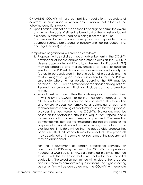CHAMBERS COUNTY will use competitive negotiations, regardless of contract amount, upon a written determination that either of the following conditions apply:

- a. Specifications cannot be made specific enough to permit the award of a bid on the basis of either the lowest bid or the lowest evaluated bid price (in other words, sealed bidding is not feasible); or
- b. The services to be procured are professional (provided by a degreed, licensed professional, principally engineering, accounting, and legal services) in nature.

Competitive negotiations will proceed as follows:

- 1. Proposals will be solicited through advertisement [in](file:///C:/Users/willi/AppData/Local/Microsoft/Windows/INetCache/Content.Outlook/6DZRA1V3/in) the COUNTY newspaper of record and/or such other places as the COUNTY deems appropriate; additionally, a Request for Proposal (RFP) may be prepared and mailed, emailed, or faxed to qualified vendors. The RFP will describe services needed and identify the factors to be considered in the evaluation of proposals and the relative weights assigned to each selection factor. The RFP will also state where further details regarding the RFP may be obtained. The RFP will call attention to the applicable regulations. Requests for proposals will always include cost as a selection factor.
- 2. Award must be made to the offeror whose proposal is determined in writing by the COUNTY to be the most advantageous to the COUNTY with price and other factors considered. This evaluation and award process contemplates a balancing of cost and technical merit in arriving at a determination as to which proposal provides the best value to the COUNTY. Evaluations must be based on the factors set forth in the Request for Proposal and a written evaluation of each response prepared. The selection committee may contact the firms regarding their proposals for the purpose of clarification and record in writing the nature of the clarification. If it is determined that no acceptable proposal has been submitted, all proposals may be rejected. New proposals may be solicited on the same or revised terms or the procurement may be abandoned.

For the procurement of certain professional services, an alternative to RFPs may be used. The COUNTY may publish a Request for Qualifications. RFQ's are handled in a similar method to RFP's with the exception that cost is not a factor in the initial evaluation. The selection committee will evaluate the responses and rank them by comparative qualifications. The highest scoring person or firm will be contacted and the COUNTY will negotiate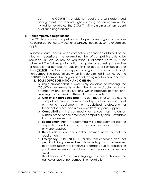cost. If the COUNTY is unable to negotiate a satisfactory cost arrangement, the second highest scoring person or firm will be invited to negotiate. The COUNTY will maintain a written record of all such negotiations.

#### **E. Noncompetitive Negotiations**

The COUNTY requires competitive bids for purchases of goods or services including consulting services) over **\$50,000**; however, some exceptions apply.

In some circumstances, when competition cannot be obtained or the situation necessitates the required number of competitive bids to be reduced, a Sole Source or Reduction Justification Form must be submitted. The following information is a guide for requesting the waiver or reduction of competitive bids on RFPs for goods or services greater than **\$50,000**. The COUNTY may purchase goods and services through non-competitive negotiations when it is determined in writing by the COUNTY that competitive negotiation or bidding is not feasible and that:

#### **1. SOLE SOURCE DEFINITION AND CRITERIA**

A single supplier that is exclusively capable of meeting the COUNTY's requirements within the time available, including emergency and other situations, which preclude conventional planning and processing. These situations include:

- a. **One-of-a-Kind/Specialized** the commodity or service has no competitive product or must meet specialized seaport, boat or marine requirements, or specialized professional or technical services, and is available from only one supplier.
- b. **Compatibility** the commodity or service must match an existing brand of equipment for compatibility and is available from only one vendor.
- c. **Replacement Part** the commodity is a replacement part for a specific brand of existing equipment and is available from only one supplier.
- d. **Delivery Date** only one supplier can meet necessary delivery requirements.
- e. **Emergency** URGENT NEED for the item or service does not permit soliciting competitive bids; including purchases needed to address major facility failures, damages due to disasters, or purchases necessary to address immediate safety and security issues.
- f. The Federal or State awarding agency has authorized the particular type of noncompetitive negotiation.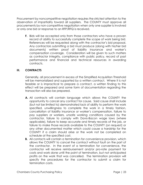Procurement by noncompetitive negotiation requires the strictest attention to the observation of impartiality toward all suppliers. The COUNTY must approve all procurements by non-competitive negotiation when only one supplier is involved or only one bid or response to an RFP/RFQ is received.

**F.** Bids will be accepted only from those contractors who have a proven record of ability to successfully complete the scope of work being bid. References will be requested along with the contractor's bid proposal. Any contractors submitting a bid must produce (along with his/her bid documents) written proof of liability insurance and worker's compensation coverage. Consideration will be given to such matters as contractor integrity, compliance with public policy, record of past performance and financial and technical resources in awarding contracts.

# **III. CONTRACTS**

Generally, all procurement in excess of the Simplified Acquisition Threshold will be memorialized and supported by a written contract. Where it is not feasible or is impractical to prepare a contract, a written finding to this effect will be prepared and some form of documentation regarding the transaction will also be prepared.

- **A.** All contracts will contain language which allows the COUNTY the opportunity to cancel any contract for cause. Said cause shall include (but not be limited to) demonstrated lack of ability to perform the work specified, unwillingness to complete the work in a timely fashion, cancellation of liability insurance or worker's compensation, failure to pay suppliers or workers, unsafe working conditions caused by the contractor, failure to comply with Davis-Bacon wage laws (where applicable), failure to keep accurate and timely records of the job, or failure to make those records available to the COUNTY (on request) or any other documented matter which could cause a hardship for the COUNTY if a claim should arise or the work not be completed on schedule at the specified cost.
- **B.** All contacts will contain a termination for convenience provision, which allows the COUNTY to cancel the contract without fault on the part of the contractor. In the event of a termination for convenience, the contractor will receive reimbursement and/or pro-rate payment for costs and work done until the point of termination, but not anticipated profits on the work that was cancelled. The termination provision will specify the procedures for the contractor to submit a claim for termination costs.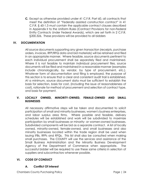**C.** Except as otherwise provided under 41 C.F.R. Part 60, all contracts that meet the definition of "Federally assisted construction contract" in 41 C.F.R. § 60-1.3 must contain the applicable contract clauses described in Appendix II to the Uniform Rules (Contract Provisions for non-Federal Entity Contracts Under Federal Awards), which are set forth in 2 C.F.R. §200.326. These provisions will be provided to all bidders

# **IV. DOCUMENTATION**

All source documents supporting any given transaction (receipts, purchase orders, invoices, RFP/RFQ data and bid materials) will be retained and filed in an appropriate manner. Where feasible, source documents pertinent to each individual procurement shall be separately filed and maintained. Where it is not feasible to maintain individual procurement files, source documents will be filed and maintained in a reasonable manner (examples include chronologically, by vendor, by type of procurement, etc.). Whatever form of documentation and filing is employed, the purpose of this section is to ensure that a clear and consistent audit trail is established. At a minimum, source document data must be sufficient to establish the basis for selection, basis for cost, (including the issue of reasonableness of cost), rationale for method of procurement and selection of contract type, and basis for payment.

#### **V. LOCALLY OWNED, MINORITY-OWNED, FEMALE-OWNED AND SMALL BUSINESSES**

All necessary affirmative steps will be taken and documented to solicit participation of small and minority businesses, women's business enterprises, and labor surplus area firms. Where possible and feasible, delivery schedules will be established and work will be subdivided to maximize participation by small businesses or minority- or women-owned businesses. Subdivided components will be bid as a separate contract. A list of locally owned, minority-owned, female-owned, and small businesses and also minority businesses located within the trade region shall be used when issuing IFBs, RFPs and RFQs. This list shall also be consulted when making small purchases. The COUNTY will use the services and assistance of the Small Business Administration and the Minority Business Development Agency of the Department of Commerce when appropriate. The successful bidder will be required to use these same criteria in selection of suppliers and subcontractors whenever possible.

# **VI. CODE OF CONDUCT**

#### **A. Conflict Of Interest**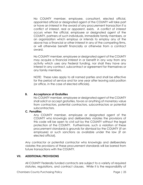No COUNTY member, employee, consultant, elected official, appointed official or designated agent of the COUNTY will take part or have an interest in the award of any procurement transaction if a conflict of interest, real or apparent, exists. A conflict of interest occurs when the official, employee or designated agent of the COUNTY, partners of such individuals, immediate family members, or an organization which employs or intends to employ any of the above has a financial or other interest in any of the competing firms, or will otherwise benefit financially or otherwise from a contract award.

No COUNTY member, employee or designated agent of the COUNTY may acquire a financial interest in or benefit in any way from any activity which uses any Federal funding, nor shall they have any interest in any contract, subcontract or agreement for themselves or any family members.

NOTE: These rules apply to all named parties and shall be effective for the period of service and for one year after leaving said position (or office, in the case of elected officials).

# **B. Acceptance of Gratuities**

No COUNTY member, employee or designated agent of the COUNTY shall solicit or accept gratuities, favors or anything of monetary value from contractors, potential contractors, subcontractors or potential subcontractors.

#### **C. Penalties**

Any COUNTY member, employee or designated agent of the COUNTY who knowingly and deliberately violates the provisions of this code will be open to civil suit by the COUNTY without the legal protection of the COUNTY. Furthermore, such a violation of these procurement standards is grounds for dismissal by the COUNTY (if an employee) or such sanctions as available under the law (if an elected official).

Any contractor or potential contractor who knowingly and deliberately violates the provisions of these procurement standards will be barred from future transactions with the COUNTY.

#### **VII. ADDITIONAL PROVISIONS**

All COUNTY Federally funded contracts are subject to a variety of required statutes, regulations, and contract clauses. While it is the responsibility of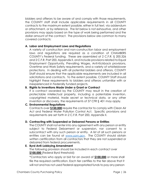bidders and offerors to be aware of and comply with those requirements, the COUNTY staff shall include applicable requirements in all COUNTY contracts to the maximum extent possible, either in full text, via addendum or attachment, or by reference. The list below is not exhaustive, and other provisions may apply based on the type of work being performed and the dollar amount of the contract. The provisions below are common to many covered contracts:

#### **A. Labor and Employment Laws and Regulations**

A variety of construction and non-construction labor and employment laws and regulations are required as a condition of CHAMBERS COUNTY's Federal funding. These are assembled at 2 C.F.R. § 200.326 and 2 C.F.R. Part 200, Appendix II, and include provisions related to Equal Employment Opportunity, Prevailing Wages, Anti-Kickback provisions, Overtime and Work Safety requirements, and a variety of whistleblower protections. In dealing with all potential bidders and offerors, COUNTY Staff should ensure that the applicable requirements are included in all solicitations and contracts. To the extent possible, COUNTY Staff should highlight these requirements to bidders and offerors unfamiliar with or inexperienced in Federally funded projects.

#### **B. Rights to Inventions Made Under a Grant or Contract**

If a contract awarded by the COUNTY may result in the creation of protectable intellectual property, including a patentable invention, copyrighted material, trade secret or technical data, or any other invention or discovery, the requirements of 37 CFR § 401 may apply.

#### **C. Environmental Regulations**

Contracts over **\$150,000** require the contractor to comply with Clean Air Act and Federal Water Pollution Control Act. Specific provisions and requirements are set forth in 2 C.F.R. Part 200, Appendix II.

# **D. Contracting with Suspended or Debarred Persons or Entities**

The COUNTY shall not enter into any agreement with any person or entity subject to Federal Debarment or suspension, nor consent to a subcontract with any such person or entity. A list of all such persons or entities can be found at [www.sam.gov.](http://www.sam.gov/) The COUNTY should obtain written certification from all contractors that they are not suspended or debarred from federal procurements.

# **E. Byrd Anti-Lobbying Amendment**

The following provision should be included in each contract over **\$100,000** (Federal Byrd threshold):

**"**Contractors who apply or bid for an award of **\$100,000** or more shall file the required certification. Each tier certifies to the tier above that it will not and has not used Federal appropriated funds to pay any person